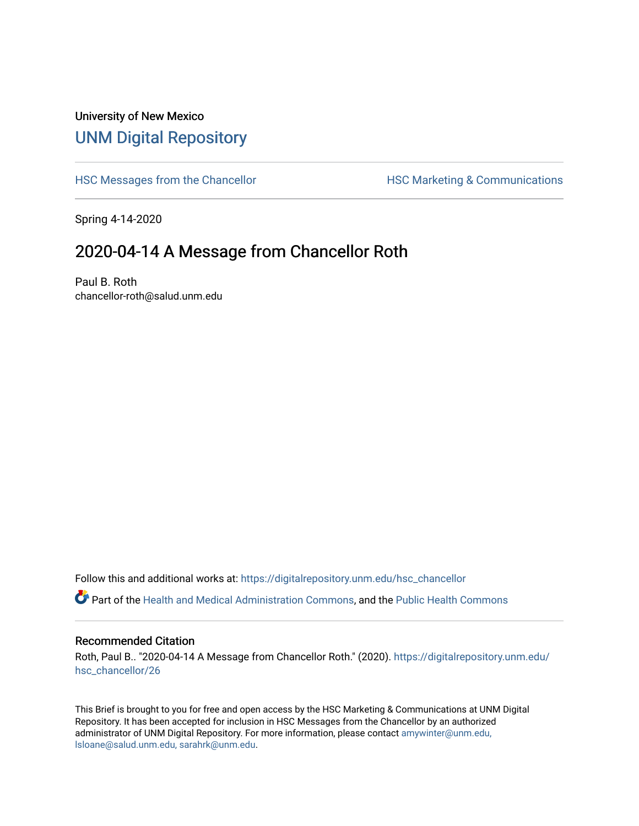## University of New Mexico [UNM Digital Repository](https://digitalrepository.unm.edu/)

[HSC Messages from the Chancellor](https://digitalrepository.unm.edu/hsc_chancellor) **HSC Marketing & Communications** 

Spring 4-14-2020

## 2020-04-14 A Message from Chancellor Roth

Paul B. Roth chancellor-roth@salud.unm.edu

Follow this and additional works at: [https://digitalrepository.unm.edu/hsc\\_chancellor](https://digitalrepository.unm.edu/hsc_chancellor?utm_source=digitalrepository.unm.edu%2Fhsc_chancellor%2F26&utm_medium=PDF&utm_campaign=PDFCoverPages) 

Part of the [Health and Medical Administration Commons](http://network.bepress.com/hgg/discipline/663?utm_source=digitalrepository.unm.edu%2Fhsc_chancellor%2F26&utm_medium=PDF&utm_campaign=PDFCoverPages), and the [Public Health Commons](http://network.bepress.com/hgg/discipline/738?utm_source=digitalrepository.unm.edu%2Fhsc_chancellor%2F26&utm_medium=PDF&utm_campaign=PDFCoverPages) 

## Recommended Citation

Roth, Paul B.. "2020-04-14 A Message from Chancellor Roth." (2020). [https://digitalrepository.unm.edu/](https://digitalrepository.unm.edu/hsc_chancellor/26?utm_source=digitalrepository.unm.edu%2Fhsc_chancellor%2F26&utm_medium=PDF&utm_campaign=PDFCoverPages) [hsc\\_chancellor/26](https://digitalrepository.unm.edu/hsc_chancellor/26?utm_source=digitalrepository.unm.edu%2Fhsc_chancellor%2F26&utm_medium=PDF&utm_campaign=PDFCoverPages) 

This Brief is brought to you for free and open access by the HSC Marketing & Communications at UNM Digital Repository. It has been accepted for inclusion in HSC Messages from the Chancellor by an authorized administrator of UNM Digital Repository. For more information, please contact [amywinter@unm.edu,](mailto:amywinter@unm.edu,%20lsloane@salud.unm.edu,%20sarahrk@unm.edu) [lsloane@salud.unm.edu, sarahrk@unm.edu.](mailto:amywinter@unm.edu,%20lsloane@salud.unm.edu,%20sarahrk@unm.edu)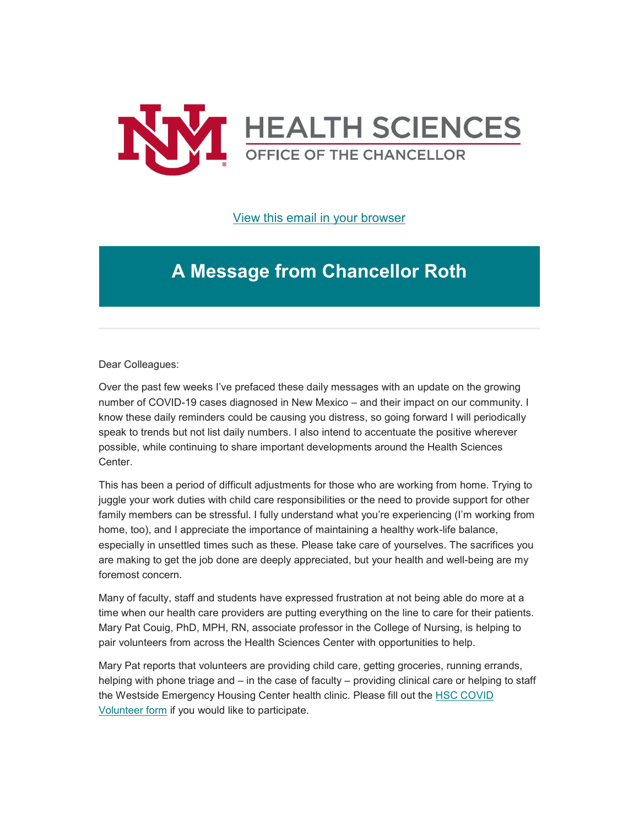

[View this email in your browser](https://mailchi.mp/531a3b8a301e/message-from-the-chancellor-coronavirus-4385692?e=b4bbfca2c0)

## **A Message from Chancellor Roth**

Dear Colleagues:

Over the past few weeks I've prefaced these daily messages with an update on the growing number of COVID-19 cases diagnosed in New Mexico – and their impact on our community. I know these daily reminders could be causing you distress, so going forward I will periodically speak to trends but not list daily numbers. I also intend to accentuate the positive wherever possible, while continuing to share important developments around the Health Sciences Center.

This has been a period of difficult adjustments for those who are working from home. Trying to juggle your work duties with child care responsibilities or the need to provide support for other family members can be stressful. I fully understand what you're experiencing (I'm working from home, too), and I appreciate the importance of maintaining a healthy work-life balance, especially in unsettled times such as these. Please take care of yourselves. The sacrifices you are making to get the job done are deeply appreciated, but your health and well-being are my foremost concern.

Many of faculty, staff and students have expressed frustration at not being able do more at a time when our health care providers are putting everything on the line to care for their patients. Mary Pat Couig, PhD, MPH, RN, associate professor in the College of Nursing, is helping to pair volunteers from across the Health Sciences Center with opportunities to help.

Mary Pat reports that volunteers are providing child care, getting groceries, running errands, helping with phone triage and – in the case of faculty – providing clinical care or helping to staff the Westside Emergency Housing Center health clinic. Please fill out the [HSC COVID](https://unm.us19.list-manage.com/track/click?u=59ce53c1a4dedb490bac78648&id=c4dad00ffb&e=b4bbfca2c0)  [Volunteer](https://unm.us19.list-manage.com/track/click?u=59ce53c1a4dedb490bac78648&id=c4dad00ffb&e=b4bbfca2c0) [form](https://unm.us19.list-manage.com/track/click?u=59ce53c1a4dedb490bac78648&id=176d46c57a&e=b4bbfca2c0) if you would like to participate.